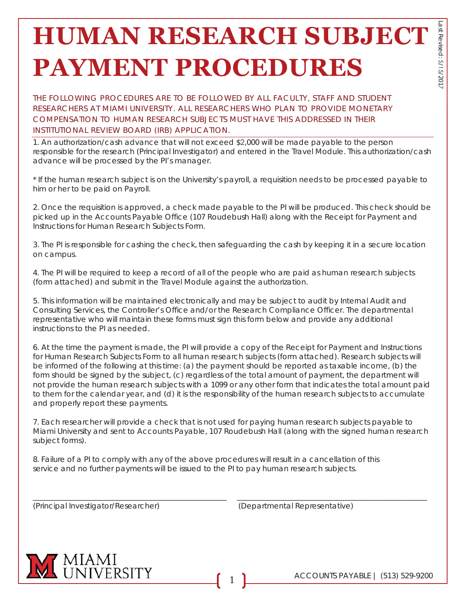↘

## **HUMAN RESEARCH SUBJECT PAYMENT PROCEDURES**

THE FOLLOWING PROCEDURES ARE TO BE FOLLOWED BY ALL FACULTY, STAFF AND STUDENT RESEARCHERS AT MIAMI UNIVERSITY. ALL RESEARCHERS WHO PLAN TO PROVIDE MONETARY COMPENSATION TO HUMAN RESEARCH SUBJECTS MUST HAVE THIS ADDRESSED IN THEIR INSTITUTIONAL REVIEW BOARD (IRB) APPLICATION.

1. An authorization/cash advance that will not exceed \$2,000 will be made payable to the person responsible for the research (Principal Investigator) and entered in the Travel Module. This authorization/cash advance will be processed by the PI's manager.

\* If the human research subject is on the University's payroll, a requisition needs to be processed payable to him or her to be paid on Payroll.

2. Once the requisition is approved, a check made payable to the PI will be produced. This check should be picked up in the Accounts Payable Office (107 Roudebush Hall) along with the Receipt for Payment and Instructions for Human Research Subjects Form.

3. The PI is responsible for cashing the check, then safeguarding the cash by keeping it in a secure location on campus.

4. The PI will be required to keep a record of all of the people who are paid as human research subjects (form attached) and submit in the Travel Module against the authorization.

5. This information will be maintained electronically and may be subject to audit by Internal Audit and Consulting Services, the Controller's Office and/or the Research Compliance Officer. The departmental representative who will maintain these forms must sign this form below and provide any additional instructions to the PI as needed.

6. At the time the payment is made, the PI will provide a copy of the Receipt for Payment and Instructions for Human Research Subjects Form to all human research subjects (form attached). Research subjects will be informed of the following at this time: (a) the payment should be reported as taxable income, (b) the form should be signed by the subject, (c) regardless of the total amount of payment, the department will not provide the human research subjects with a 1099 or any other form that indicates the total amount paid to them for the calendar year, and (d) it is the responsibility of the human research subjects to accumulate and properly report these payments.

7. Each researcher will provide a check that is not used for paying human research subjects payable to Miami University and sent to Accounts Payable, 107 Roudebush Hall (along with the signed human research subject forms).

\_\_\_\_\_\_\_\_\_\_\_\_\_\_\_\_\_\_\_\_\_\_\_\_\_\_\_\_\_\_\_\_\_\_\_\_\_\_\_\_\_\_\_\_\_\_\_\_\_\_\_ \_\_\_\_\_\_\_\_\_\_\_\_\_\_\_\_\_\_\_\_\_\_\_\_\_\_\_\_\_\_\_\_\_\_\_\_\_\_\_\_\_\_\_\_\_\_\_\_\_\_

8. Failure of a PI to comply with any of the above procedures will result in a cancellation of this service and no further payments will be issued to the PI to pay human research subjects.

(Principal Investigator/Researcher) (Departmental Representative)

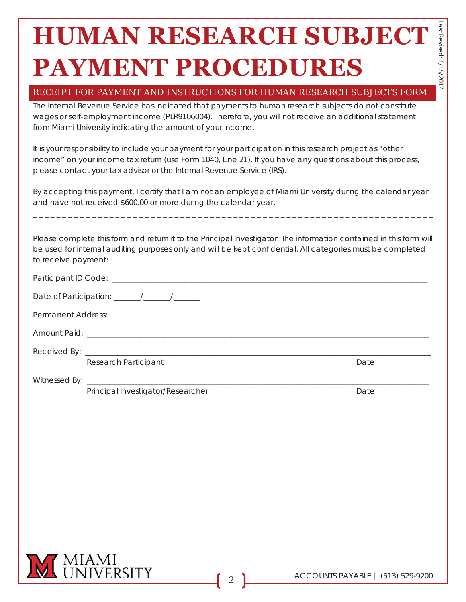# **HUMAN RESEARCH SUBJECT PAYMENT PROCEDURES**

### RECEIPT FOR PAYMENT AND INSTRUCTIONS FOR HUMAN RESEARCH SUBJECTS FORM

The Internal Revenue Service has indicated that payments to human research subjects do not constitute wages or self-employment income (PLR9106004). Therefore, you will not receive an additional statement from Miami University indicating the amount of your income.

It is your responsibility to include your payment for your participation in this research project as "other income" on your income tax return (use Form 1040, Line 21). If you have any questions about this process, please contact your tax advisor or the Internal Revenue Service (IRS).

By accepting this payment, I certify that I am not an employee of Miami University during the calendar year and have not received \$600.00 or more during the calendar year.

\_ \_ \_ \_ \_ \_ \_ \_ \_ \_ \_ \_ \_ \_ \_ \_ \_ \_ \_ \_ \_ \_ \_ \_ \_ \_ \_ \_ \_ \_ \_ \_ \_ \_ \_ \_ \_ \_ \_ \_ \_ \_ \_ \_ \_ \_ \_ \_ \_ \_ \_ \_ \_ \_ \_ \_ \_ \_ \_ \_ \_ \_ \_ \_ \_ \_ \_ \_

Please complete this form and return it to the Principal Investigator. The information contained in this form will be used for internal auditing purposes only and will be kept confidential. All categories must be completed to receive payment:

| Research Participant                                                                                                                  | Date |
|---------------------------------------------------------------------------------------------------------------------------------------|------|
| Witnessed By:<br><u> 1989 - Johann John Stone, mars eta bat eta bat eta bat eta bat eta bat eta bat eta bat eta bat eta bat eta b</u> |      |

Principal Investigator/Researcher Date Date Date